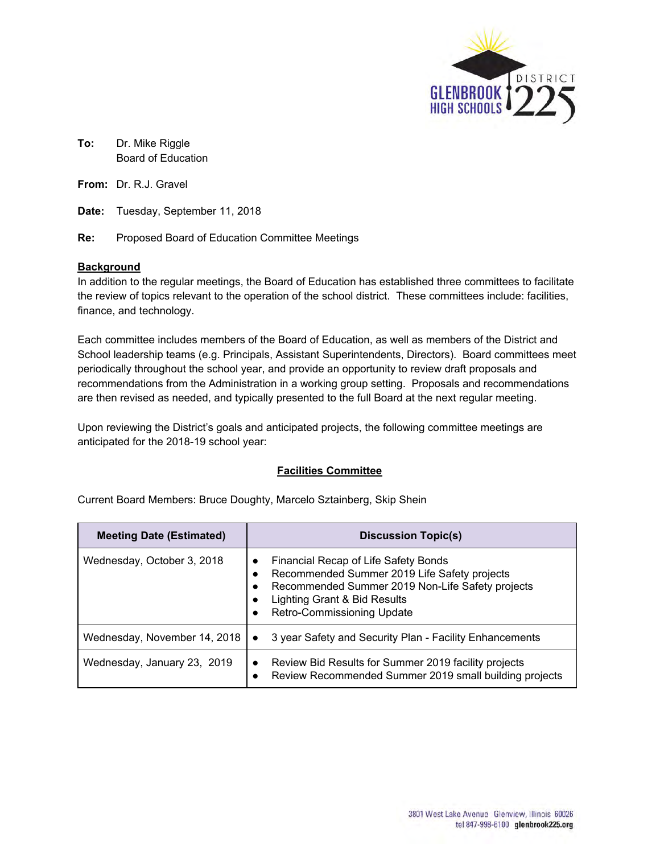

**To:** Dr. Mike Riggle Board of Education

**From:** Dr. R.J. Gravel

**Date:** Tuesday, September 11, 2018

**Re:** Proposed Board of Education Committee Meetings

## **Background**

In addition to the regular meetings, the Board of Education has established three committees to facilitate the review of topics relevant to the operation of the school district. These committees include: facilities, finance, and technology.

Each committee includes members of the Board of Education, as well as members of the District and School leadership teams (e.g. Principals, Assistant Superintendents, Directors). Board committees meet periodically throughout the school year, and provide an opportunity to review draft proposals and recommendations from the Administration in a working group setting. Proposals and recommendations are then revised as needed, and typically presented to the full Board at the next regular meeting.

Upon reviewing the District's goals and anticipated projects, the following committee meetings are anticipated for the 2018-19 school year:

## **Facilities Committee**

| <b>Meeting Date (Estimated)</b> | <b>Discussion Topic(s)</b>                                                                                                                                                                                                 |
|---------------------------------|----------------------------------------------------------------------------------------------------------------------------------------------------------------------------------------------------------------------------|
| Wednesday, October 3, 2018      | Financial Recap of Life Safety Bonds<br>$\bullet$<br>Recommended Summer 2019 Life Safety projects<br>Recommended Summer 2019 Non-Life Safety projects<br>Lighting Grant & Bid Results<br><b>Retro-Commissioning Update</b> |
| Wednesday, November 14, 2018    | 3 year Safety and Security Plan - Facility Enhancements<br>$\bullet$                                                                                                                                                       |
| Wednesday, January 23, 2019     | Review Bid Results for Summer 2019 facility projects<br>$\bullet$<br>Review Recommended Summer 2019 small building projects                                                                                                |

Current Board Members: Bruce Doughty, Marcelo Sztainberg, Skip Shein